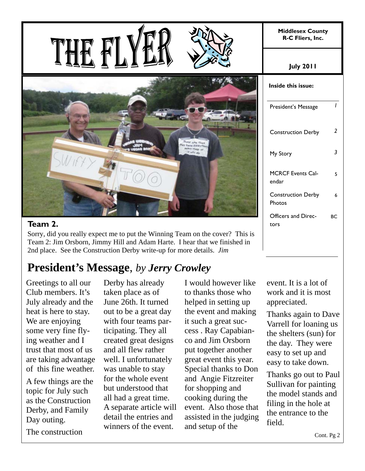**Middlesex County R-C Fliers, Inc.** 



#### **Team 2.**

Sorry, did you really expect me to put the Winning Team on the cover? This is Team 2: Jim Orsborn, Jimmy Hill and Adam Harte. I hear that we finished in 2nd place. See the Construction Derby write-up for more details. *Jim*

### **President's Message**, *by Jerry Crowley*

Greetings to all our Club members. It's July already and the heat is here to stay. We are enjoying some very fine flying weather and I trust that most of us are taking advantage of this fine weather. A few things are the

topic for July such as the Construction Derby, and Family Day outing.

The construction

Derby has already taken place as of June 26th. It turned out to be a great day with four teams participating. They all created great designs and all flew rather well. I unfortunately was unable to stay for the whole event but understood that all had a great time. A separate article will detail the entries and winners of the event.

I would however like to thanks those who helped in setting up the event and making it such a great success . Ray Capabianco and Jim Orsborn put together another great event this year. Special thanks to Don and Angie Fitzreiter for shopping and cooking during the event. Also those that assisted in the judging and setup of the

| <b>July 2011</b> |  |
|------------------|--|
|------------------|--|

| Inside this issue:                  |    |
|-------------------------------------|----|
| President's Message                 | ı  |
| <b>Construction Derby</b>           | 2  |
| My Story                            | 3  |
| <b>MCRCF Events Cal-</b><br>endar   | 5  |
| <b>Construction Derby</b><br>Photos | 6  |
| <b>Officers and Direc-</b><br>tors  | BС |

event. It is a lot of work and it is most appreciated.

Thanks again to Dave Varrell for loaning us the shelters (sun) for the day. They were easy to set up and easy to take down.

Thanks go out to Paul Sullivan for painting the model stands and filing in the hole at the entrance to the field.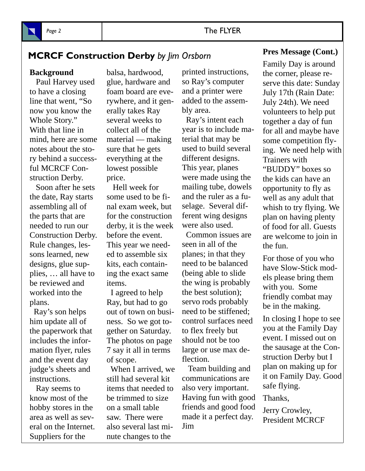#### **MCRCF Construction Derby** *by Jim Orsborn*

#### **Background**

 Paul Harvey used to have a closing line that went, "So now you know the Whole Story." With that line in mind, here are some notes about the story behind a successful MCRCF Construction Derby.

 Soon after he sets the date, Ray starts assembling all of the parts that are needed to run our Construction Derby. Rule changes, lessons learned, new designs, glue supplies, … all have to be reviewed and worked into the plans.

 Ray's son helps him update all of the paperwork that includes the information flyer, rules and the event day judge's sheets and instructions.

 Ray seems to know most of the hobby stores in the area as well as several on the Internet. Suppliers for the

balsa, hardwood, glue, hardware and foam board are everywhere, and it generally takes Ray several weeks to collect all of the material — making sure that he gets everything at the lowest possible price.

 Hell week for some used to be final exam week, but for the construction derby, it is the week before the event. This year we needed to assemble six kits, each containing the exact same items.

 I agreed to help Ray, but had to go out of town on business. So we got together on Saturday. The photos on page 7 say it all in terms of scope.

 When I arrived, we still had several kit items that needed to be trimmed to size on a small table saw. There were also several last minute changes to the

printed instructions, so Ray's computer and a printer were added to the assembly area.

 Ray's intent each year is to include material that may be used to build several different designs. This year, planes were made using the mailing tube, dowels and the ruler as a fuselage. Several different wing designs were also used.

 Common issues are seen in all of the planes; in that they need to be balanced (being able to slide the wing is probably the best solution); servo rods probably need to be stiffened; control surfaces need to flex freely but should not be too large or use max deflection.

 Team building and communications are also very important. Having fun with good friends and good food made it a perfect day. Jim

#### **Pres Message (Cont.)**

Family Day is around the corner, please reserve this date: Sunday July 17th (Rain Date: July 24th). We need volunteers to help put together a day of fun for all and maybe have some competition flying. We need help with Trainers with "BUDDY" boxes so the kids can have an opportunity to fly as well as any adult that whish to try flying. We plan on having plenty of food for all. Guests are welcome to join in the fun.

For those of you who have Slow-Stick models please bring them with you. Some friendly combat may be in the making.

In closing I hope to see you at the Family Day event. I missed out on the sausage at the Construction Derby but I plan on making up for it on Family Day. Good safe flying.

Thanks,

Jerry Crowley, President MCRCF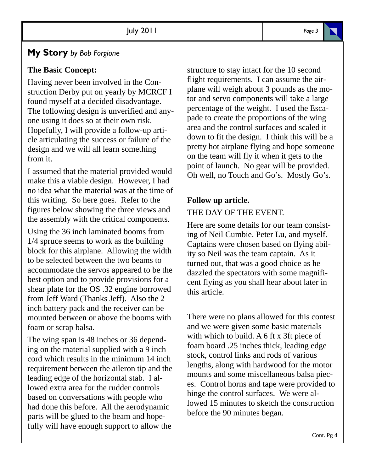#### **My Story** *by Bob Forgione*

#### **The Basic Concept:**

Having never been involved in the Construction Derby put on yearly by MCRCF I found myself at a decided disadvantage. The following design is unverified and anyone using it does so at their own risk. Hopefully, I will provide a follow-up article articulating the success or failure of the design and we will all learn something from it.

I assumed that the material provided would make this a viable design. However, I had no idea what the material was at the time of this writing. So here goes. Refer to the figures below showing the three views and the assembly with the critical components.

Using the 36 inch laminated booms from 1/4 spruce seems to work as the building block for this airplane. Allowing the width to be selected between the two beams to accommodate the servos appeared to be the best option and to provide provisions for a shear plate for the OS .32 engine borrowed from Jeff Ward (Thanks Jeff). Also the 2 inch battery pack and the receiver can be mounted between or above the booms with foam or scrap balsa.

The wing span is 48 inches or 36 depending on the material supplied with a 9 inch cord which results in the minimum 14 inch requirement between the aileron tip and the leading edge of the horizontal stab. I allowed extra area for the rudder controls based on conversations with people who had done this before. All the aerodynamic parts will be glued to the beam and hopefully will have enough support to allow the

structure to stay intact for the 10 second flight requirements. I can assume the airplane will weigh about 3 pounds as the motor and servo components will take a large percentage of the weight. I used the Escapade to create the proportions of the wing area and the control surfaces and scaled it down to fit the design. I think this will be a pretty hot airplane flying and hope someone on the team will fly it when it gets to the point of launch. No gear will be provided. Oh well, no Touch and Go's. Mostly Go's.

#### **Follow up article.**

#### THE DAY OF THE EVENT.

Here are some details for our team consisting of Neil Cumbie, Peter Lu, and myself. Captains were chosen based on flying ability so Neil was the team captain. As it turned out, that was a good choice as he dazzled the spectators with some magnificent flying as you shall hear about later in this article.

There were no plans allowed for this contest and we were given some basic materials with which to build. A 6 ft x 3ft piece of foam board .25 inches thick, leading edge stock, control links and rods of various lengths, along with hardwood for the motor mounts and some miscellaneous balsa pieces. Control horns and tape were provided to hinge the control surfaces. We were allowed 15 minutes to sketch the construction before the 90 minutes began.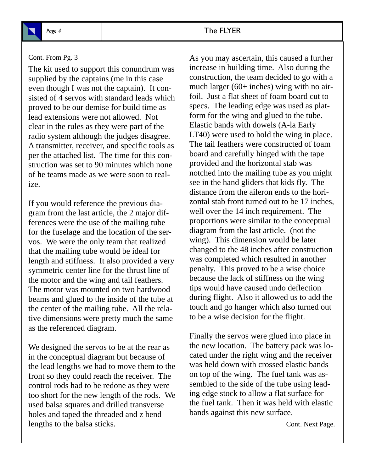

#### Page 4 **The FLYER**

#### Cont. From Pg. 3

The kit used to support this conundrum was supplied by the captains (me in this case even though I was not the captain). It consisted of 4 servos with standard leads which proved to be our demise for build time as lead extensions were not allowed. Not clear in the rules as they were part of the radio system although the judges disagree. A transmitter, receiver, and specific tools as per the attached list. The time for this construction was set to 90 minutes which none of he teams made as we were soon to realize.

If you would reference the previous diagram from the last article, the 2 major differences were the use of the mailing tube for the fuselage and the location of the servos. We were the only team that realized that the mailing tube would be ideal for length and stiffness. It also provided a very symmetric center line for the thrust line of the motor and the wing and tail feathers. The motor was mounted on two hardwood beams and glued to the inside of the tube at the center of the mailing tube. All the relative dimensions were pretty much the same as the referenced diagram.

We designed the servos to be at the rear as in the conceptual diagram but because of the lead lengths we had to move them to the front so they could reach the receiver. The control rods had to be redone as they were too short for the new length of the rods. We used balsa squares and drilled transverse holes and taped the threaded and z bend lengths to the balsa sticks.

As you may ascertain, this caused a further increase in building time. Also during the construction, the team decided to go with a much larger (60+ inches) wing with no airfoil. Just a flat sheet of foam board cut to specs. The leading edge was used as platform for the wing and glued to the tube. Elastic bands with dowels (A-la Early LT40) were used to hold the wing in place. The tail feathers were constructed of foam board and carefully hinged with the tape provided and the horizontal stab was notched into the mailing tube as you might see in the hand gliders that kids fly. The distance from the aileron ends to the horizontal stab front turned out to be 17 inches, well over the 14 inch requirement. The proportions were similar to the conceptual diagram from the last article. (not the wing). This dimension would be later changed to the 48 inches after construction was completed which resulted in another penalty. This proved to be a wise choice because the lack of stiffness on the wing tips would have caused undo deflection during flight. Also it allowed us to add the touch and go hanger which also turned out to be a wise decision for the flight.

Finally the servos were glued into place in the new location. The battery pack was located under the right wing and the receiver was held down with crossed elastic bands on top of the wing. The fuel tank was assembled to the side of the tube using leading edge stock to allow a flat surface for the fuel tank. Then it was held with elastic bands against this new surface.

Cont. Next Page.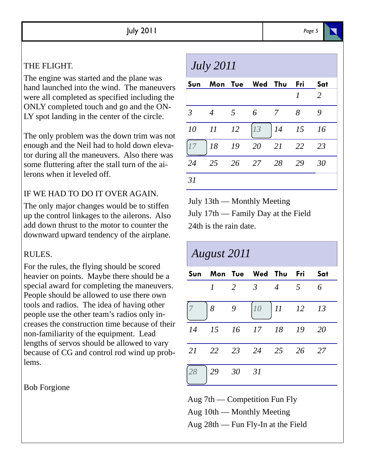#### THE FLIGHT.

The engine was started and the plane was hand launched into the wind. The maneuvers were all completed as specified including the ONLY completed touch and go and the ON-LY spot landing in the center of the circle.

The only problem was the down trim was not enough and the Neil had to hold down elevator during all the maneuvers. Also there was some fluttering after the stall turn of the ailerons when it leveled off.

#### IF WE HAD TO DO IT OVER AGAIN.

The only major changes would be to stiffen up the control linkages to the ailerons. Also add down thrust to the motor to counter the downward upward tendency of the airplane.

#### RULES.

For the rules, the flying should be scored heavier on points. Maybe there should be a special award for completing the maneuvers. People should be allowed to use there own tools and radios. The idea of having other people use the other team's radios only increases the construction time because of their non-familiarity of the equipment. Lead lengths of servos should be allowed to vary because of CG and control rod wind up problems.

#### Bob Forgione

## *July 2011*

|                |                |                | Sun Mon Tue Wed Thu Fri |           |      | Sat  |
|----------------|----------------|----------------|-------------------------|-----------|------|------|
|                |                |                |                         |           |      | 2    |
| $\overline{3}$ | $\overline{4}$ | $\mathfrak{F}$ | 6                       | 7         | 8    | 9    |
| 10             | $\mathcal{H}$  | 12             | 13                      | $14$ $15$ |      | - 16 |
|                | 18             | $19$ $20$      |                         | 21        | 22   | 23   |
| 24             | 25             |                | 26 27 28                |           | - 29 | 30   |
| 31             |                |                |                         |           |      |      |

July 13th — Monthly Meeting July 17th — Family Day at the Field 24th is the rain date.

#### *August 2011*

|                                              | Sun Mon Tue Wed Thu Fri Sat                                 |  |  |
|----------------------------------------------|-------------------------------------------------------------|--|--|
|                                              | $1 \quad 2 \quad 3 \quad 4 \quad 5 \quad 6$                 |  |  |
|                                              | $\begin{array}{c ccccc} \hline \end{array}$ 8 9 10 11 12 13 |  |  |
|                                              | 14 15 16 17 18 19 20                                        |  |  |
|                                              | 21 22 23 24 25 26 27                                        |  |  |
| $\begin{bmatrix} 29 & 30 & 31 \end{bmatrix}$ |                                                             |  |  |

Aug 7th — Competition Fun Fly Aug 10th — Monthly Meeting Aug 28th — Fun Fly-In at the Field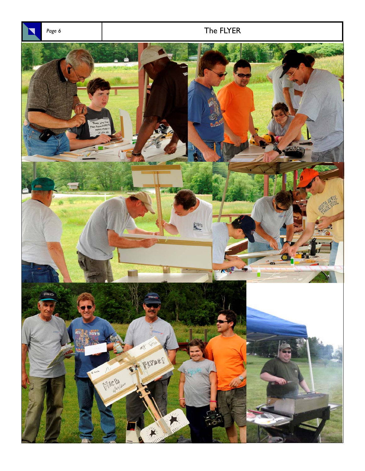

#### Page 6 **The FLYER**

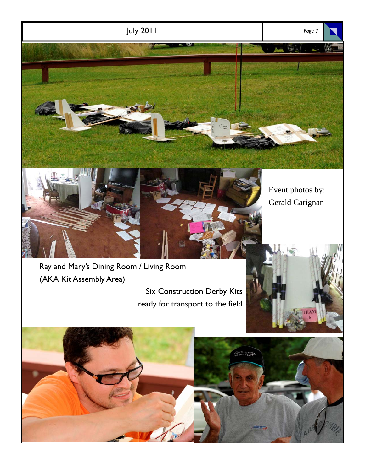



Event photos by: Gerald Carignan

Ray and Mary's Dining Room / Living Room (AKA Kit Assembly Area)

> Six Construction Derby Kits ready for transport to the field